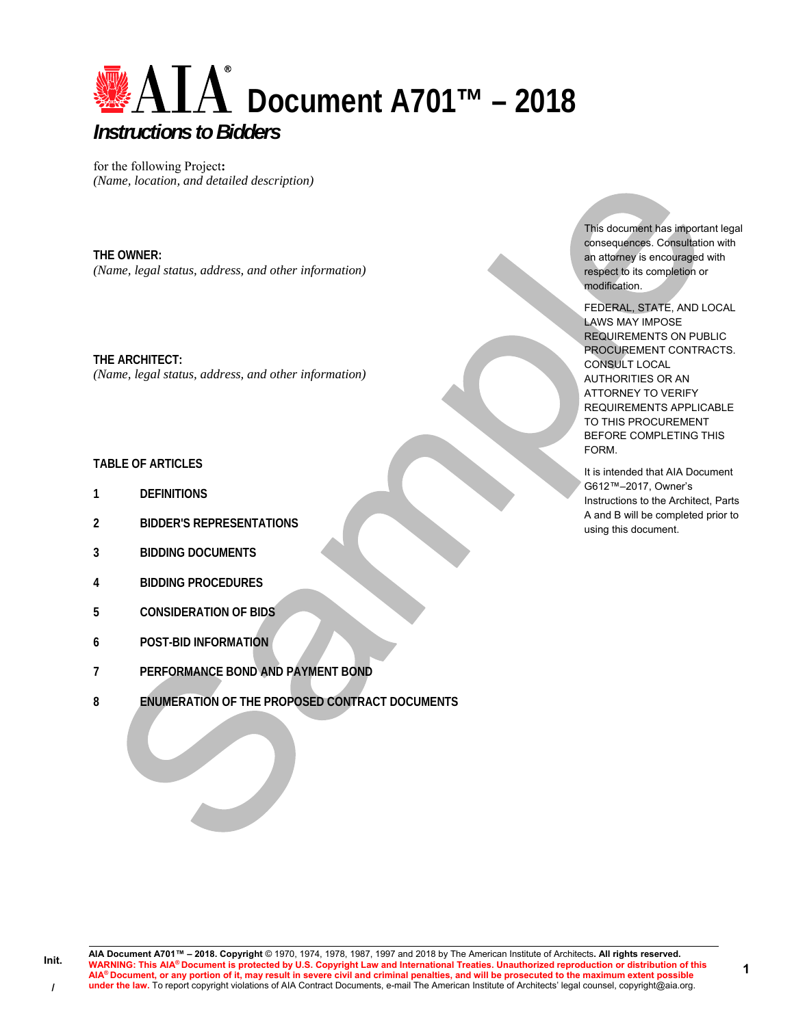

for the following Project**:**  *(Name, location, and detailed description)* 

**THE OWNER:**  *(Name, legal status, address, and other information)* 

**THE ARCHITECT:**  *(Name, legal status, address, and other information)* 

## **TABLE OF ARTICLES**

- **1 DEFINITIONS**
- **2 BIDDER'S REPRESENTATIONS**
- **3 BIDDING DOCUMENTS**
- **4 BIDDING PROCEDURES**
- **5 CONSIDERATION OF BIDS**
- **6 POST-BID INFORMATION**
- **7 PERFORMANCE BOND AND PAYMENT BOND**
- **8 ENUMERATION OF THE PROPOSED CONTRACT DOCUMENTS**

This document has important legal consequences. Consultation with an attorney is encouraged with respect to its completion or modification.

FEDERAL, STATE, AND LOCAL LAWS MAY IMPOSE REQUIREMENTS ON PUBLIC PROCUREMENT CONTRACTS. CONSULT LOCAL AUTHORITIES OR AN ATTORNEY TO VERIFY REQUIREMENTS APPLICABLE TO THIS PROCUREMENT BEFORE COMPLETING THIS FORM.

It is intended that AIA Document G612™–2017, Owner's Instructions to the Architect, Parts A and B will be completed prior to using this document.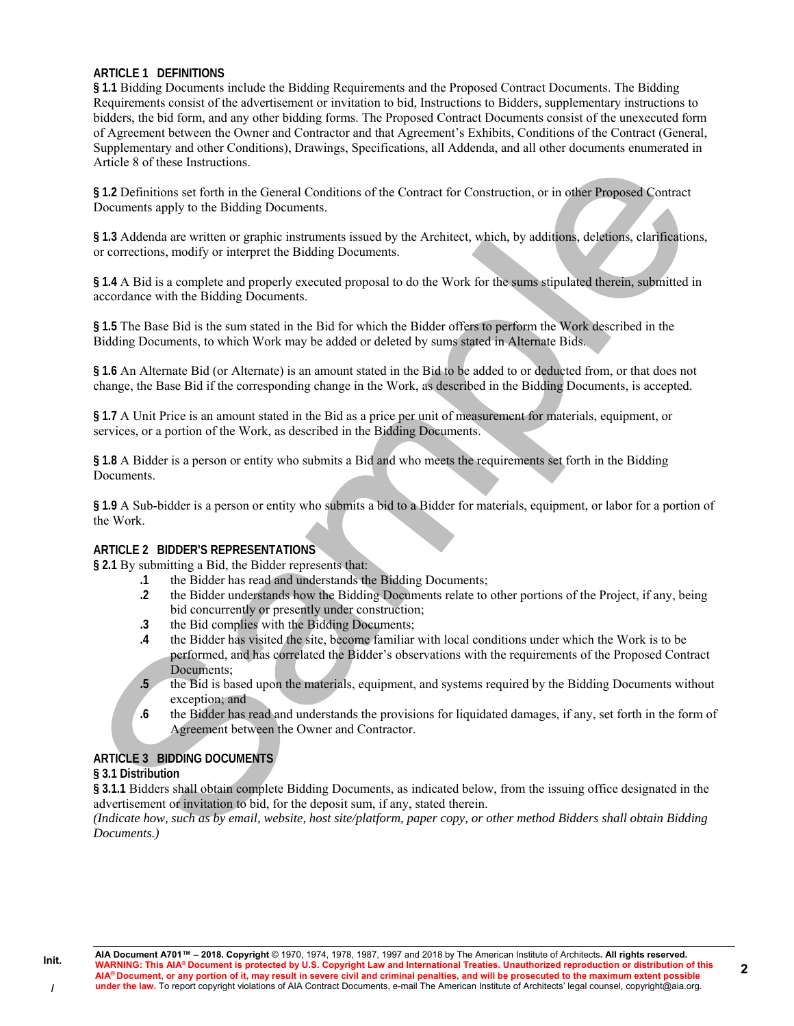### **ARTICLE 1 DEFINITIONS**

**§ 1.1** Bidding Documents include the Bidding Requirements and the Proposed Contract Documents. The Bidding Requirements consist of the advertisement or invitation to bid, Instructions to Bidders, supplementary instructions to bidders, the bid form, and any other bidding forms. The Proposed Contract Documents consist of the unexecuted form of Agreement between the Owner and Contractor and that Agreement's Exhibits, Conditions of the Contract (General, Supplementary and other Conditions), Drawings, Specifications, all Addenda, and all other documents enumerated in Article 8 of these Instructions.

**§ 1.2** Definitions set forth in the General Conditions of the Contract for Construction, or in other Proposed Contract Documents apply to the Bidding Documents.

**§ 1.3** Addenda are written or graphic instruments issued by the Architect, which, by additions, deletions, clarifications, or corrections, modify or interpret the Bidding Documents.

**§ 1.4** A Bid is a complete and properly executed proposal to do the Work for the sums stipulated therein, submitted in accordance with the Bidding Documents.

**§ 1.5** The Base Bid is the sum stated in the Bid for which the Bidder offers to perform the Work described in the Bidding Documents, to which Work may be added or deleted by sums stated in Alternate Bids.

**§ 1.6** An Alternate Bid (or Alternate) is an amount stated in the Bid to be added to or deducted from, or that does not change, the Base Bid if the corresponding change in the Work, as described in the Bidding Documents, is accepted.

**§ 1.7** A Unit Price is an amount stated in the Bid as a price per unit of measurement for materials, equipment, or services, or a portion of the Work, as described in the Bidding Documents.

**§ 1.8** A Bidder is a person or entity who submits a Bid and who meets the requirements set forth in the Bidding Documents.

**§ 1.9** A Sub-bidder is a person or entity who submits a bid to a Bidder for materials, equipment, or labor for a portion of the Work.

### **ARTICLE 2 BIDDER'S REPRESENTATIONS**

**§ 2.1** By submitting a Bid, the Bidder represents that:

- **.1** the Bidder has read and understands the Bidding Documents;
- **.2** the Bidder understands how the Bidding Documents relate to other portions of the Project, if any, being bid concurrently or presently under construction;
- **.3** the Bid complies with the Bidding Documents;
- **.4** the Bidder has visited the site, become familiar with local conditions under which the Work is to be performed, and has correlated the Bidder's observations with the requirements of the Proposed Contract Documents;
- **.5** the Bid is based upon the materials, equipment, and systems required by the Bidding Documents without exception; and
- **.6** the Bidder has read and understands the provisions for liquidated damages, if any, set forth in the form of Agreement between the Owner and Contractor.

### **ARTICLE 3 BIDDING DOCUMENTS**

### **§ 3.1 Distribution**

**§ 3.1.1** Bidders shall obtain complete Bidding Documents, as indicated below, from the issuing office designated in the advertisement or invitation to bid, for the deposit sum, if any, stated therein.

*(Indicate how, such as by email, website, host site/platform, paper copy, or other method Bidders shall obtain Bidding Documents.)*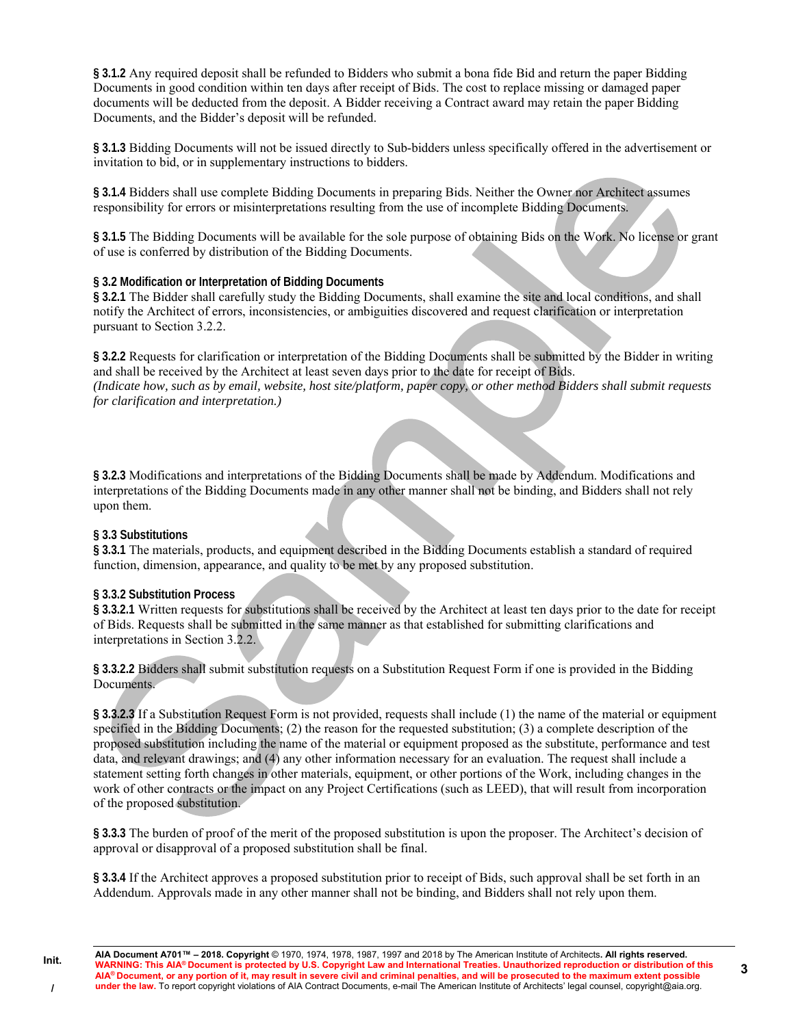**§ 3.1.2** Any required deposit shall be refunded to Bidders who submit a bona fide Bid and return the paper Bidding Documents in good condition within ten days after receipt of Bids. The cost to replace missing or damaged paper documents will be deducted from the deposit. A Bidder receiving a Contract award may retain the paper Bidding Documents, and the Bidder's deposit will be refunded.

**§ 3.1.3** Bidding Documents will not be issued directly to Sub-bidders unless specifically offered in the advertisement or invitation to bid, or in supplementary instructions to bidders.

**§ 3.1.4** Bidders shall use complete Bidding Documents in preparing Bids. Neither the Owner nor Architect assumes responsibility for errors or misinterpretations resulting from the use of incomplete Bidding Documents.

**§ 3.1.5** The Bidding Documents will be available for the sole purpose of obtaining Bids on the Work. No license or grant of use is conferred by distribution of the Bidding Documents.

### **§ 3.2 Modification or Interpretation of Bidding Documents**

**§ 3.2.1** The Bidder shall carefully study the Bidding Documents, shall examine the site and local conditions, and shall notify the Architect of errors, inconsistencies, or ambiguities discovered and request clarification or interpretation pursuant to Section 3.2.2.

**§ 3.2.2** Requests for clarification or interpretation of the Bidding Documents shall be submitted by the Bidder in writing and shall be received by the Architect at least seven days prior to the date for receipt of Bids. *(Indicate how, such as by email, website, host site/platform, paper copy, or other method Bidders shall submit requests* 

*for clarification and interpretation.)* 

**§ 3.2.3** Modifications and interpretations of the Bidding Documents shall be made by Addendum. Modifications and interpretations of the Bidding Documents made in any other manner shall not be binding, and Bidders shall not rely upon them.

### **§ 3.3 Substitutions**

**§ 3.3.1** The materials, products, and equipment described in the Bidding Documents establish a standard of required function, dimension, appearance, and quality to be met by any proposed substitution.

### **§ 3.3.2 Substitution Process**

**§ 3.3.2.1** Written requests for substitutions shall be received by the Architect at least ten days prior to the date for receipt of Bids. Requests shall be submitted in the same manner as that established for submitting clarifications and interpretations in Section 3.2.2.

**§ 3.3.2.2** Bidders shall submit substitution requests on a Substitution Request Form if one is provided in the Bidding Documents.

**§ 3.3.2.3** If a Substitution Request Form is not provided, requests shall include (1) the name of the material or equipment specified in the Bidding Documents; (2) the reason for the requested substitution; (3) a complete description of the proposed substitution including the name of the material or equipment proposed as the substitute, performance and test data, and relevant drawings; and (4) any other information necessary for an evaluation. The request shall include a statement setting forth changes in other materials, equipment, or other portions of the Work, including changes in the work of other contracts or the impact on any Project Certifications (such as LEED), that will result from incorporation of the proposed substitution.

**§ 3.3.3** The burden of proof of the merit of the proposed substitution is upon the proposer. The Architect's decision of approval or disapproval of a proposed substitution shall be final.

**§ 3.3.4** If the Architect approves a proposed substitution prior to receipt of Bids, such approval shall be set forth in an Addendum. Approvals made in any other manner shall not be binding, and Bidders shall not rely upon them.

**Init. /**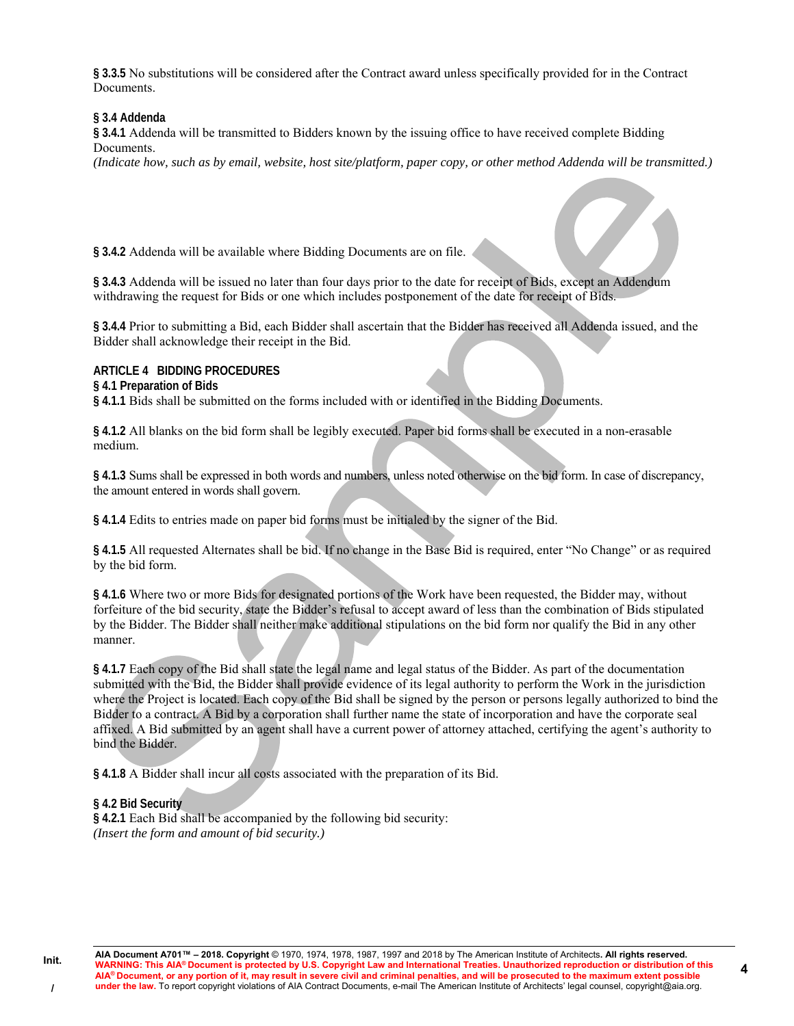**§ 3.3.5** No substitutions will be considered after the Contract award unless specifically provided for in the Contract Documents.

### **§ 3.4 Addenda**

**§ 3.4.1** Addenda will be transmitted to Bidders known by the issuing office to have received complete Bidding Documents.

*(Indicate how, such as by email, website, host site/platform, paper copy, or other method Addenda will be transmitted.)* 

**§ 3.4.2** Addenda will be available where Bidding Documents are on file.

**§ 3.4.3** Addenda will be issued no later than four days prior to the date for receipt of Bids, except an Addendum withdrawing the request for Bids or one which includes postponement of the date for receipt of Bids.

**§ 3.4.4** Prior to submitting a Bid, each Bidder shall ascertain that the Bidder has received all Addenda issued, and the Bidder shall acknowledge their receipt in the Bid.

### **ARTICLE 4 BIDDING PROCEDURES**

#### **§ 4.1 Preparation of Bids**

**§ 4.1.1** Bids shall be submitted on the forms included with or identified in the Bidding Documents.

**§ 4.1.2** All blanks on the bid form shall be legibly executed. Paper bid forms shall be executed in a non-erasable medium.

**§ 4.1.3** Sums shall be expressed in both words and numbers, unless noted otherwise on the bid form. In case of discrepancy, the amount entered in words shall govern.

**§ 4.1.4** Edits to entries made on paper bid forms must be initialed by the signer of the Bid.

**§ 4.1.5** All requested Alternates shall be bid. If no change in the Base Bid is required, enter "No Change" or as required by the bid form.

**§ 4.1.6** Where two or more Bids for designated portions of the Work have been requested, the Bidder may, without forfeiture of the bid security, state the Bidder's refusal to accept award of less than the combination of Bids stipulated by the Bidder. The Bidder shall neither make additional stipulations on the bid form nor qualify the Bid in any other manner.

**§ 4.1.7** Each copy of the Bid shall state the legal name and legal status of the Bidder. As part of the documentation submitted with the Bid, the Bidder shall provide evidence of its legal authority to perform the Work in the jurisdiction where the Project is located. Each copy of the Bid shall be signed by the person or persons legally authorized to bind the Bidder to a contract. A Bid by a corporation shall further name the state of incorporation and have the corporate seal affixed. A Bid submitted by an agent shall have a current power of attorney attached, certifying the agent's authority to bind the Bidder.

**§ 4.1.8** A Bidder shall incur all costs associated with the preparation of its Bid.

### **§ 4.2 Bid Security**

**Init.** 

**/** 

**§ 4.2.1** Each Bid shall be accompanied by the following bid security: *(Insert the form and amount of bid security.)*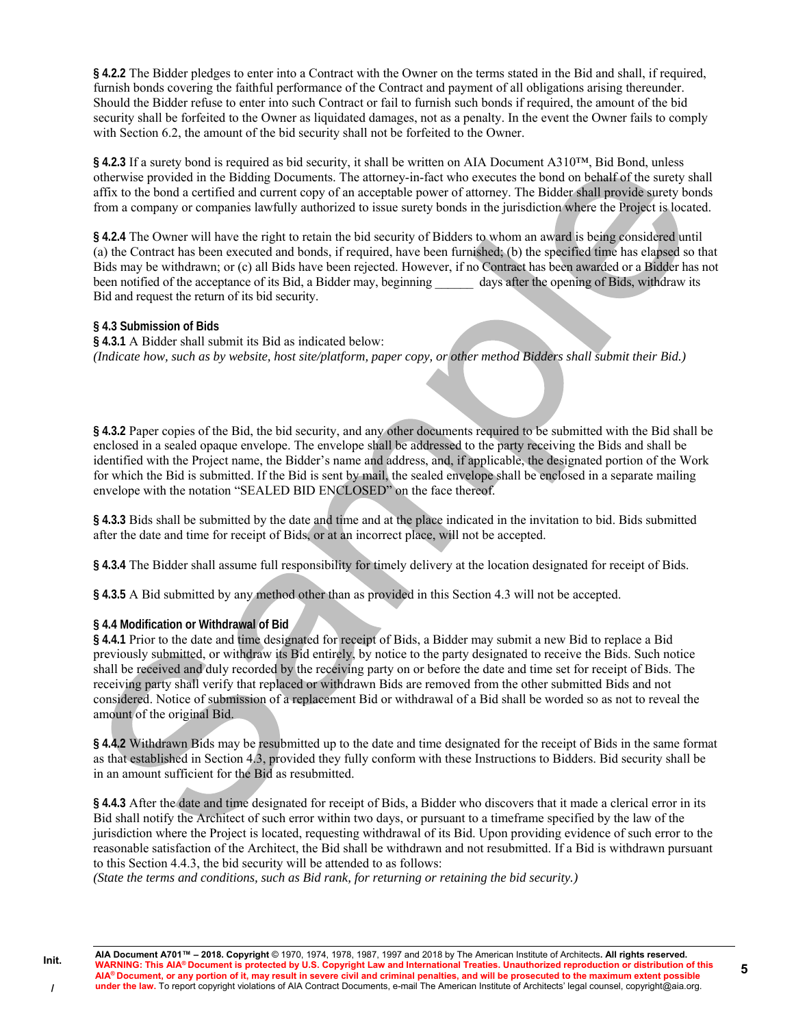**§ 4.2.2** The Bidder pledges to enter into a Contract with the Owner on the terms stated in the Bid and shall, if required, furnish bonds covering the faithful performance of the Contract and payment of all obligations arising thereunder. Should the Bidder refuse to enter into such Contract or fail to furnish such bonds if required, the amount of the bid security shall be forfeited to the Owner as liquidated damages, not as a penalty. In the event the Owner fails to comply with Section 6.2, the amount of the bid security shall not be forfeited to the Owner.

§ 4.2.3 If a surety bond is required as bid security, it shall be written on AIA Document A310<sup>™</sup>, Bid Bond, unless otherwise provided in the Bidding Documents. The attorney-in-fact who executes the bond on behalf of the surety shall affix to the bond a certified and current copy of an acceptable power of attorney. The Bidder shall provide surety bonds from a company or companies lawfully authorized to issue surety bonds in the jurisdiction where the Project is located.

**§ 4.2.4** The Owner will have the right to retain the bid security of Bidders to whom an award is being considered until (a) the Contract has been executed and bonds, if required, have been furnished; (b) the specified time has elapsed so that Bids may be withdrawn; or (c) all Bids have been rejected. However, if no Contract has been awarded or a Bidder has not been notified of the acceptance of its Bid, a Bidder may, beginning days after the opening of Bids, withdraw its Bid and request the return of its bid security.

## **§ 4.3 Submission of Bids**

**§ 4.3.1** A Bidder shall submit its Bid as indicated below: *(Indicate how, such as by website, host site/platform, paper copy, or other method Bidders shall submit their Bid.)* 

**§ 4.3.2** Paper copies of the Bid, the bid security, and any other documents required to be submitted with the Bid shall be enclosed in a sealed opaque envelope. The envelope shall be addressed to the party receiving the Bids and shall be identified with the Project name, the Bidder's name and address, and, if applicable, the designated portion of the Work for which the Bid is submitted. If the Bid is sent by mail, the sealed envelope shall be enclosed in a separate mailing envelope with the notation "SEALED BID ENCLOSED" on the face thereof.

**§ 4.3.3** Bids shall be submitted by the date and time and at the place indicated in the invitation to bid. Bids submitted after the date and time for receipt of Bids, or at an incorrect place, will not be accepted.

**§ 4.3.4** The Bidder shall assume full responsibility for timely delivery at the location designated for receipt of Bids.

**§ 4.3.5** A Bid submitted by any method other than as provided in this Section 4.3 will not be accepted.

## **§ 4.4 Modification or Withdrawal of Bid**

**§ 4.4.1** Prior to the date and time designated for receipt of Bids, a Bidder may submit a new Bid to replace a Bid previously submitted, or withdraw its Bid entirely, by notice to the party designated to receive the Bids. Such notice shall be received and duly recorded by the receiving party on or before the date and time set for receipt of Bids. The receiving party shall verify that replaced or withdrawn Bids are removed from the other submitted Bids and not considered. Notice of submission of a replacement Bid or withdrawal of a Bid shall be worded so as not to reveal the amount of the original Bid.

**§ 4.4.2** Withdrawn Bids may be resubmitted up to the date and time designated for the receipt of Bids in the same format as that established in Section 4.3, provided they fully conform with these Instructions to Bidders. Bid security shall be in an amount sufficient for the Bid as resubmitted.

**§ 4.4.3** After the date and time designated for receipt of Bids, a Bidder who discovers that it made a clerical error in its Bid shall notify the Architect of such error within two days, or pursuant to a timeframe specified by the law of the jurisdiction where the Project is located, requesting withdrawal of its Bid. Upon providing evidence of such error to the reasonable satisfaction of the Architect, the Bid shall be withdrawn and not resubmitted. If a Bid is withdrawn pursuant to this Section 4.4.3, the bid security will be attended to as follows:

*(State the terms and conditions, such as Bid rank, for returning or retaining the bid security.)* 

**5**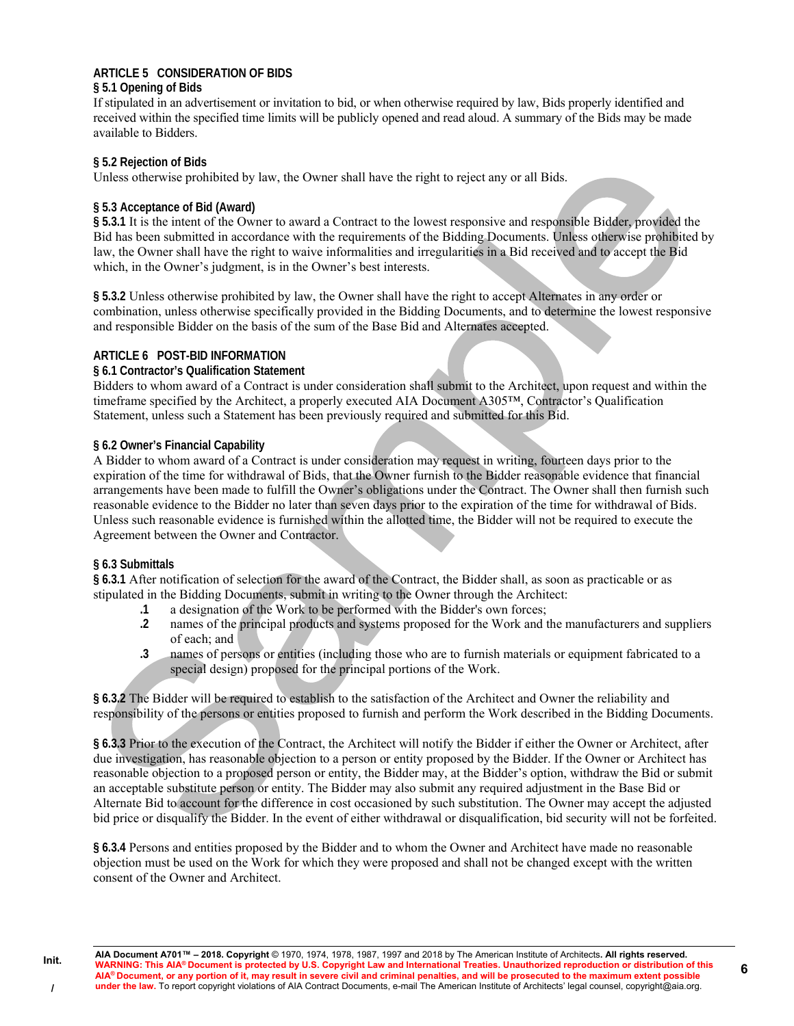## **ARTICLE 5 CONSIDERATION OF BIDS**

### **§ 5.1 Opening of Bids**

If stipulated in an advertisement or invitation to bid, or when otherwise required by law, Bids properly identified and received within the specified time limits will be publicly opened and read aloud. A summary of the Bids may be made available to Bidders.

## **§ 5.2 Rejection of Bids**

Unless otherwise prohibited by law, the Owner shall have the right to reject any or all Bids.

## **§ 5.3 Acceptance of Bid (Award)**

**§ 5.3.1** It is the intent of the Owner to award a Contract to the lowest responsive and responsible Bidder, provided the Bid has been submitted in accordance with the requirements of the Bidding Documents. Unless otherwise prohibited by law, the Owner shall have the right to waive informalities and irregularities in a Bid received and to accept the Bid which, in the Owner's judgment, is in the Owner's best interests.

**§ 5.3.2** Unless otherwise prohibited by law, the Owner shall have the right to accept Alternates in any order or combination, unless otherwise specifically provided in the Bidding Documents, and to determine the lowest responsive and responsible Bidder on the basis of the sum of the Base Bid and Alternates accepted.

## **ARTICLE 6 POST-BID INFORMATION**

## **§ 6.1 Contractor's Qualification Statement**

Bidders to whom award of a Contract is under consideration shall submit to the Architect, upon request and within the timeframe specified by the Architect, a properly executed AIA Document A305™, Contractor's Qualification Statement, unless such a Statement has been previously required and submitted for this Bid.

## **§ 6.2 Owner's Financial Capability**

A Bidder to whom award of a Contract is under consideration may request in writing, fourteen days prior to the expiration of the time for withdrawal of Bids, that the Owner furnish to the Bidder reasonable evidence that financial arrangements have been made to fulfill the Owner's obligations under the Contract. The Owner shall then furnish such reasonable evidence to the Bidder no later than seven days prior to the expiration of the time for withdrawal of Bids. Unless such reasonable evidence is furnished within the allotted time, the Bidder will not be required to execute the Agreement between the Owner and Contractor.

### **§ 6.3 Submittals**

**Init.** 

**/** 

**§ 6.3.1** After notification of selection for the award of the Contract, the Bidder shall, as soon as practicable or as stipulated in the Bidding Documents, submit in writing to the Owner through the Architect:

- **.1** a designation of the Work to be performed with the Bidder's own forces;
- **.2** names of the principal products and systems proposed for the Work and the manufacturers and suppliers of each; and
- **.3** names of persons or entities (including those who are to furnish materials or equipment fabricated to a special design) proposed for the principal portions of the Work.

**§ 6.3.2** The Bidder will be required to establish to the satisfaction of the Architect and Owner the reliability and responsibility of the persons or entities proposed to furnish and perform the Work described in the Bidding Documents.

**§ 6.3.3** Prior to the execution of the Contract, the Architect will notify the Bidder if either the Owner or Architect, after due investigation, has reasonable objection to a person or entity proposed by the Bidder. If the Owner or Architect has reasonable objection to a proposed person or entity, the Bidder may, at the Bidder's option, withdraw the Bid or submit an acceptable substitute person or entity. The Bidder may also submit any required adjustment in the Base Bid or Alternate Bid to account for the difference in cost occasioned by such substitution. The Owner may accept the adjusted bid price or disqualify the Bidder. In the event of either withdrawal or disqualification, bid security will not be forfeited.

**§ 6.3.4** Persons and entities proposed by the Bidder and to whom the Owner and Architect have made no reasonable objection must be used on the Work for which they were proposed and shall not be changed except with the written consent of the Owner and Architect.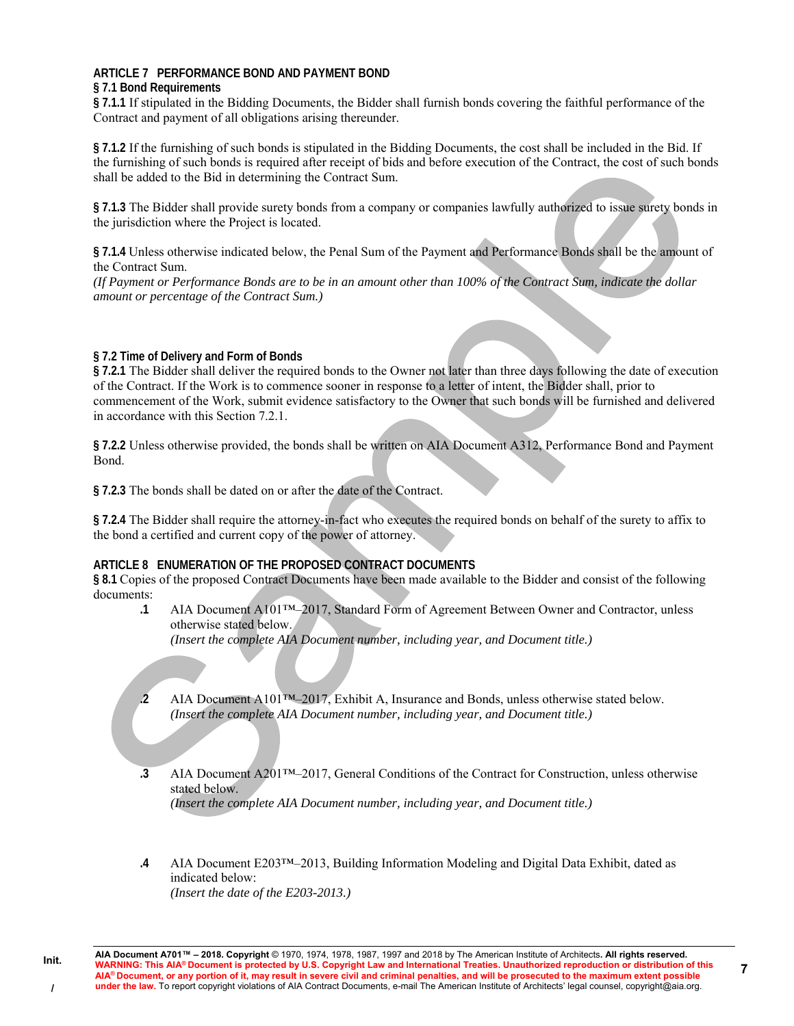# **ARTICLE 7 PERFORMANCE BOND AND PAYMENT BOND**

## **§ 7.1 Bond Requirements**

**§ 7.1.1** If stipulated in the Bidding Documents, the Bidder shall furnish bonds covering the faithful performance of the Contract and payment of all obligations arising thereunder.

**§ 7.1.2** If the furnishing of such bonds is stipulated in the Bidding Documents, the cost shall be included in the Bid. If the furnishing of such bonds is required after receipt of bids and before execution of the Contract, the cost of such bonds shall be added to the Bid in determining the Contract Sum.

**§ 7.1.3** The Bidder shall provide surety bonds from a company or companies lawfully authorized to issue surety bonds in the jurisdiction where the Project is located.

**§ 7.1.4** Unless otherwise indicated below, the Penal Sum of the Payment and Performance Bonds shall be the amount of the Contract Sum.

*(If Payment or Performance Bonds are to be in an amount other than 100% of the Contract Sum, indicate the dollar amount or percentage of the Contract Sum.)* 

## **§ 7.2 Time of Delivery and Form of Bonds**

**§ 7.2.1** The Bidder shall deliver the required bonds to the Owner not later than three days following the date of execution of the Contract. If the Work is to commence sooner in response to a letter of intent, the Bidder shall, prior to commencement of the Work, submit evidence satisfactory to the Owner that such bonds will be furnished and delivered in accordance with this Section 7.2.1.

**§ 7.2.2** Unless otherwise provided, the bonds shall be written on AIA Document A312, Performance Bond and Payment Bond.

**§ 7.2.3** The bonds shall be dated on or after the date of the Contract.

**§ 7.2.4** The Bidder shall require the attorney-in-fact who executes the required bonds on behalf of the surety to affix to the bond a certified and current copy of the power of attorney.

### **ARTICLE 8 ENUMERATION OF THE PROPOSED CONTRACT DOCUMENTS**

**§ 8.1** Copies of the proposed Contract Documents have been made available to the Bidder and consist of the following documents:

**.1** AIA Document A101™–2017, Standard Form of Agreement Between Owner and Contractor, unless otherwise stated below.

*(Insert the complete AIA Document number, including year, and Document title.)* 

**.2** AIA Document A101™–2017, Exhibit A, Insurance and Bonds, unless otherwise stated below. *(Insert the complete AIA Document number, including year, and Document title.)* 

- **.3** AIA Document A201™–2017, General Conditions of the Contract for Construction, unless otherwise stated below. *(Insert the complete AIA Document number, including year, and Document title.)*
- **.4** AIA Document E203™–2013, Building Information Modeling and Digital Data Exhibit, dated as indicated below: *(Insert the date of the E203-2013.)*